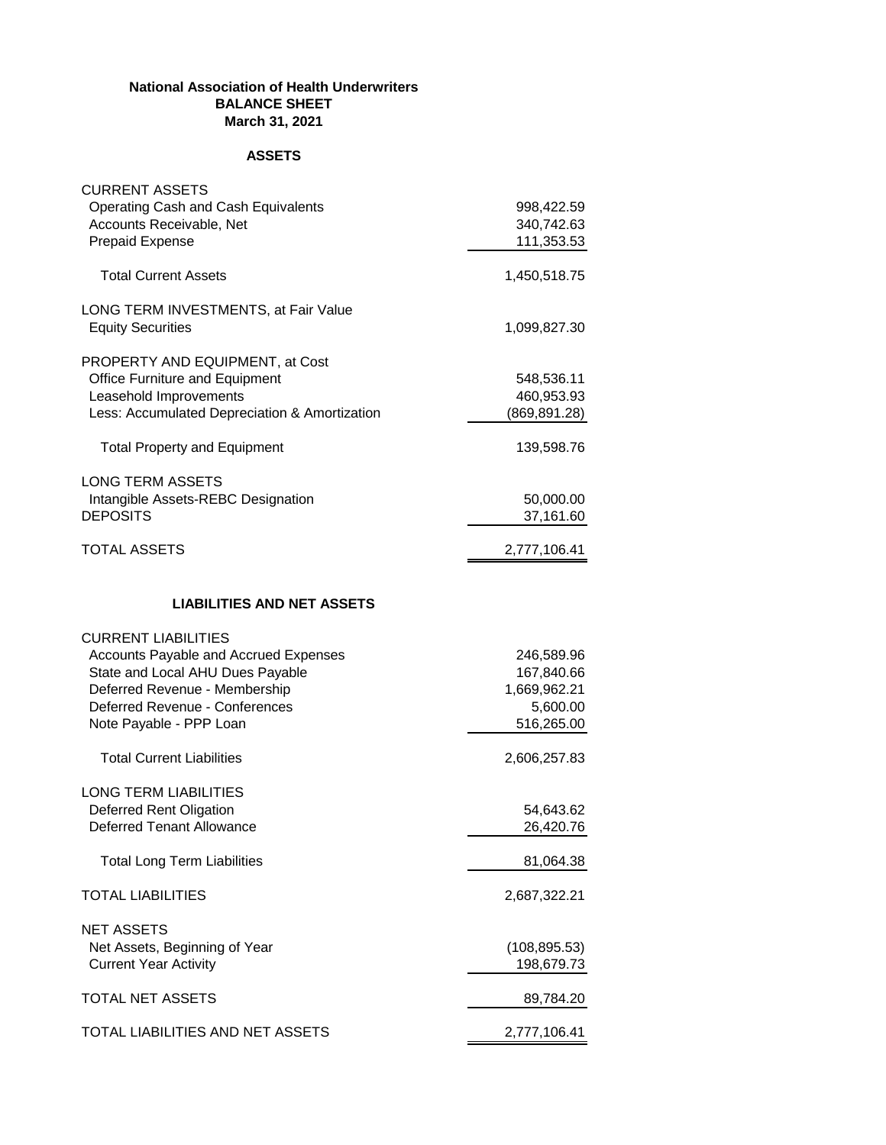## **National Association of Health Underwriters BALANCE SHEET March 31, 2021**

## **ASSETS**

| <b>CURRENT ASSETS</b><br>Operating Cash and Cash Equivalents<br>Accounts Receivable, Net<br><b>Prepaid Expense</b>                                                                                    | 998,422.59<br>340,742.63<br>111,353.53                             |
|-------------------------------------------------------------------------------------------------------------------------------------------------------------------------------------------------------|--------------------------------------------------------------------|
| <b>Total Current Assets</b>                                                                                                                                                                           | 1,450,518.75                                                       |
| LONG TERM INVESTMENTS, at Fair Value<br><b>Equity Securities</b>                                                                                                                                      | 1,099,827.30                                                       |
| PROPERTY AND EQUIPMENT, at Cost<br>Office Furniture and Equipment<br>Leasehold Improvements<br>Less: Accumulated Depreciation & Amortization                                                          | 548,536.11<br>460,953.93<br>(869,891.28)                           |
| <b>Total Property and Equipment</b>                                                                                                                                                                   | 139,598.76                                                         |
| <b>LONG TERM ASSETS</b><br>Intangible Assets-REBC Designation<br><b>DEPOSITS</b>                                                                                                                      | 50,000.00<br>37,161.60                                             |
| <b>TOTAL ASSETS</b>                                                                                                                                                                                   | 2,777,106.41                                                       |
| <b>LIABILITIES AND NET ASSETS</b>                                                                                                                                                                     |                                                                    |
| <b>CURRENT LIABILITIES</b><br>Accounts Payable and Accrued Expenses<br>State and Local AHU Dues Payable<br>Deferred Revenue - Membership<br>Deferred Revenue - Conferences<br>Note Payable - PPP Loan | 246,589.96<br>167,840.66<br>1,669,962.21<br>5,600.00<br>516,265.00 |
| <b>Total Current Liabilities</b>                                                                                                                                                                      | 2,606,257.83                                                       |
| <b>LONG TERM LIABILITIES</b><br>Deferred Rent Oligation<br><b>Deferred Tenant Allowance</b>                                                                                                           | 54,643.62<br>26,420.76                                             |
| <b>Total Long Term Liabilities</b>                                                                                                                                                                    | 81,064.38                                                          |
| <b>TOTAL LIABILITIES</b>                                                                                                                                                                              | 2,687,322.21                                                       |
| <b>NET ASSETS</b><br>Net Assets, Beginning of Year<br><b>Current Year Activity</b>                                                                                                                    | (108, 895.53)<br>198,679.73                                        |
| <b>TOTAL NET ASSETS</b>                                                                                                                                                                               | 89,784.20                                                          |
| TOTAL LIABILITIES AND NET ASSETS                                                                                                                                                                      | 2,777,106.41                                                       |